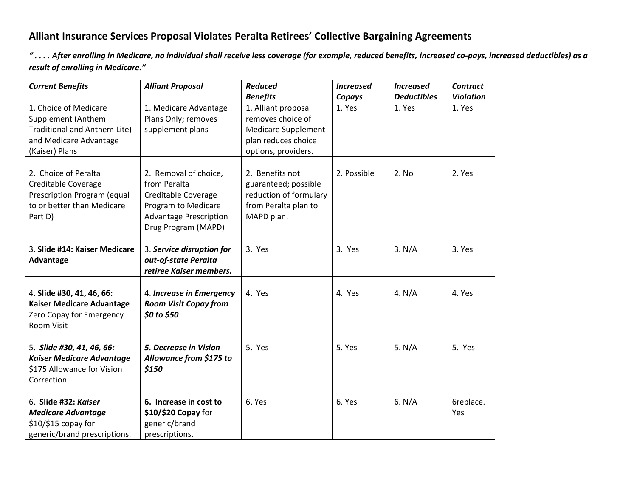## **Alliant Insurance Services Proposal Violates Peralta Retirees' Collective Bargaining Agreements**

*" . . . . After enrolling in Medicare, no individual shall receive less coverage (for example, reduced benefits, increased co-pays, increased deductibles) as a result of enrolling in Medicare."*

| <b>Current Benefits</b>                                        | <b>Alliant Proposal</b>                      | <b>Reduced</b>                           | <b>Increased</b> | <b>Increased</b>   | <b>Contract</b>  |
|----------------------------------------------------------------|----------------------------------------------|------------------------------------------|------------------|--------------------|------------------|
|                                                                |                                              | <b>Benefits</b>                          | Copays           | <b>Deductibles</b> | <b>Violation</b> |
| 1. Choice of Medicare<br>Supplement (Anthem                    | 1. Medicare Advantage<br>Plans Only; removes | 1. Alliant proposal<br>removes choice of | 1. Yes           | 1. Yes             | 1. Yes           |
| Traditional and Anthem Lite)                                   | supplement plans                             | <b>Medicare Supplement</b>               |                  |                    |                  |
| and Medicare Advantage                                         |                                              | plan reduces choice                      |                  |                    |                  |
| (Kaiser) Plans                                                 |                                              | options, providers.                      |                  |                    |                  |
|                                                                |                                              |                                          |                  |                    |                  |
| 2. Choice of Peralta                                           | 2. Removal of choice,                        | 2. Benefits not                          | 2. Possible      | 2. No              | 2. Yes           |
| Creditable Coverage                                            | from Peralta                                 | guaranteed; possible                     |                  |                    |                  |
| Prescription Program (equal                                    | Creditable Coverage                          | reduction of formulary                   |                  |                    |                  |
| to or better than Medicare                                     | Program to Medicare                          | from Peralta plan to                     |                  |                    |                  |
| Part D)                                                        | <b>Advantage Prescription</b>                | MAPD plan.                               |                  |                    |                  |
|                                                                | Drug Program (MAPD)                          |                                          |                  |                    |                  |
| 3. Slide #14: Kaiser Medicare                                  | 3. Service disruption for                    | 3. Yes                                   | 3. Yes           | 3. N/A             | 3. Yes           |
| Advantage                                                      | out-of-state Peralta                         |                                          |                  |                    |                  |
|                                                                | retiree Kaiser members.                      |                                          |                  |                    |                  |
|                                                                |                                              |                                          |                  |                    |                  |
| 4. Slide #30, 41, 46, 66:                                      | 4. Increase in Emergency                     | 4. Yes                                   | 4. Yes           | 4. $N/A$           | 4. Yes           |
| <b>Kaiser Medicare Advantage</b>                               | <b>Room Visit Copay from</b>                 |                                          |                  |                    |                  |
| Zero Copay for Emergency                                       | \$0 to \$50                                  |                                          |                  |                    |                  |
| Room Visit                                                     |                                              |                                          |                  |                    |                  |
|                                                                |                                              |                                          |                  |                    |                  |
| 5. Slide #30, 41, 46, 66:                                      | 5. Decrease in Vision                        | 5. Yes                                   | 5. Yes           | 5. $N/A$           | 5. Yes           |
| <b>Kaiser Medicare Advantage</b><br>\$175 Allowance for Vision | Allowance from \$175 to<br>\$150             |                                          |                  |                    |                  |
| Correction                                                     |                                              |                                          |                  |                    |                  |
|                                                                |                                              |                                          |                  |                    |                  |
| 6. Slide #32: Kaiser                                           | 6. Increase in cost to                       | 6. Yes                                   | 6. Yes           | 6. $N/A$           | 6replace.        |
| <b>Medicare Advantage</b>                                      | \$10/\$20 Copay for                          |                                          |                  |                    | Yes              |
| \$10/\$15 copay for                                            | generic/brand                                |                                          |                  |                    |                  |
| generic/brand prescriptions.                                   | prescriptions.                               |                                          |                  |                    |                  |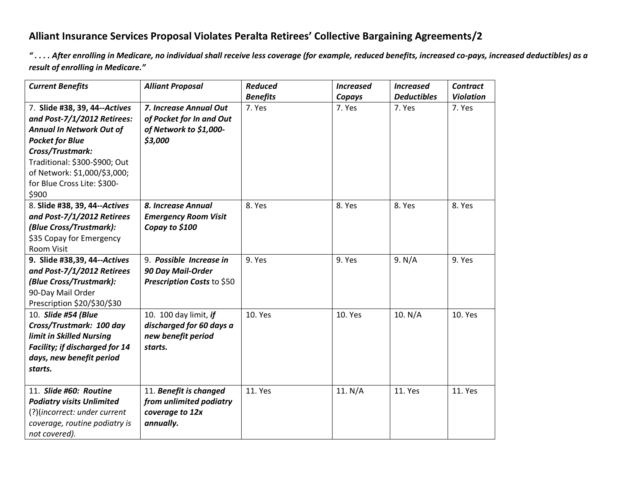## **Alliant Insurance Services Proposal Violates Peralta Retirees' Collective Bargaining Agreements/2**

".... After enrolling in Medicare, no individual shall receive less coverage (for example, reduced benefits, increased co-pays, increased deductibles) as a *result of enrolling in Medicare."*

| <b>Current Benefits</b>               | <b>Alliant Proposal</b>     | <b>Reduced</b>  | <b>Increased</b> | <b>Increased</b>   | <b>Contract</b>  |
|---------------------------------------|-----------------------------|-----------------|------------------|--------------------|------------------|
|                                       |                             | <b>Benefits</b> | Copays           | <b>Deductibles</b> | <b>Violation</b> |
| 7. Slide #38, 39, 44--Actives         | 7. Increase Annual Out      | 7. Yes          | 7. Yes           | 7. Yes             | 7. Yes           |
| and Post-7/1/2012 Retirees:           | of Pocket for In and Out    |                 |                  |                    |                  |
| <b>Annual In Network Out of</b>       | of Network to \$1,000-      |                 |                  |                    |                  |
| <b>Pocket for Blue</b>                | \$3,000                     |                 |                  |                    |                  |
| Cross/Trustmark:                      |                             |                 |                  |                    |                  |
| Traditional: \$300-\$900; Out         |                             |                 |                  |                    |                  |
| of Network: \$1,000/\$3,000;          |                             |                 |                  |                    |                  |
| for Blue Cross Lite: \$300-           |                             |                 |                  |                    |                  |
| \$900                                 |                             |                 |                  |                    |                  |
| 8. Slide #38, 39, 44--Actives         | 8. Increase Annual          | 8. Yes          | 8. Yes           | 8. Yes             | 8. Yes           |
| and Post-7/1/2012 Retirees            | <b>Emergency Room Visit</b> |                 |                  |                    |                  |
| (Blue Cross/Trustmark):               | Copay to \$100              |                 |                  |                    |                  |
| \$35 Copay for Emergency              |                             |                 |                  |                    |                  |
| <b>Room Visit</b>                     |                             |                 |                  |                    |                  |
| 9. Slide #38,39, 44--Actives          | 9. Possible Increase in     | 9. Yes          | 9. Yes           | 9. N/A             | 9. Yes           |
| and Post-7/1/2012 Retirees            | 90 Day Mail-Order           |                 |                  |                    |                  |
| (Blue Cross/Trustmark):               | Prescription Costs to \$50  |                 |                  |                    |                  |
| 90-Day Mail Order                     |                             |                 |                  |                    |                  |
| Prescription \$20/\$30/\$30           |                             |                 |                  |                    |                  |
| 10. Slide #54 (Blue                   | 10. 100 day limit, if       | 10. Yes         | 10. Yes          | 10. N/A            | 10. Yes          |
| Cross/Trustmark: 100 day              | discharged for 60 days a    |                 |                  |                    |                  |
| limit in Skilled Nursing              | new benefit period          |                 |                  |                    |                  |
| <b>Facility; if discharged for 14</b> | starts.                     |                 |                  |                    |                  |
| days, new benefit period              |                             |                 |                  |                    |                  |
| starts.                               |                             |                 |                  |                    |                  |
|                                       |                             |                 |                  |                    |                  |
| 11. Slide #60: Routine                | 11. Benefit is changed      | 11. Yes         | 11. N/A          | 11. Yes            | 11. Yes          |
| <b>Podiatry visits Unlimited</b>      | from unlimited podiatry     |                 |                  |                    |                  |
| (?)(incorrect: under current          | coverage to 12x             |                 |                  |                    |                  |
| coverage, routine podiatry is         | annually.                   |                 |                  |                    |                  |
| not covered).                         |                             |                 |                  |                    |                  |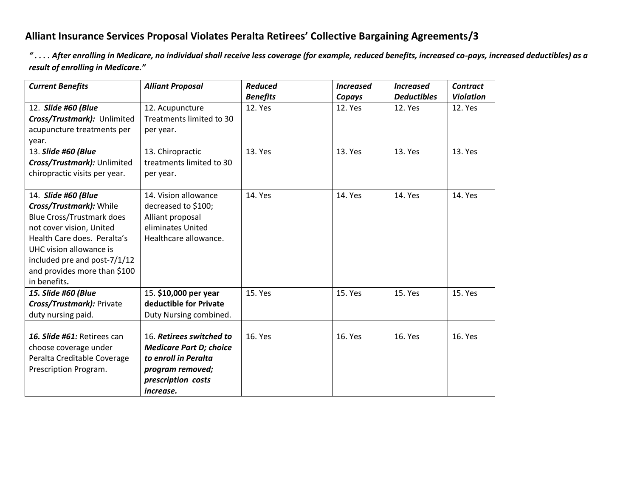## **Alliant Insurance Services Proposal Violates Peralta Retirees' Collective Bargaining Agreements/3**

*" . . . . After enrolling in Medicare, no individual shall receive less coverage (for example, reduced benefits, increased co-pays, increased deductibles) as a result of enrolling in Medicare."*

| <b>Current Benefits</b>                                                                                                                                                                                                                                  | <b>Alliant Proposal</b>                                                                                                                   | <b>Reduced</b>  | <b>Increased</b> | <b>Increased</b>   | <b>Contract</b>  |
|----------------------------------------------------------------------------------------------------------------------------------------------------------------------------------------------------------------------------------------------------------|-------------------------------------------------------------------------------------------------------------------------------------------|-----------------|------------------|--------------------|------------------|
|                                                                                                                                                                                                                                                          |                                                                                                                                           | <b>Benefits</b> | Copays           | <b>Deductibles</b> | <b>Violation</b> |
| 12. Slide #60 (Blue<br>Cross/Trustmark): Unlimited<br>acupuncture treatments per<br>year.                                                                                                                                                                | 12. Acupuncture<br>Treatments limited to 30<br>per year.                                                                                  | <b>12. Yes</b>  | 12. Yes          | 12. Yes            | <b>12. Yes</b>   |
| 13. Slide #60 (Blue<br>Cross/Trustmark): Unlimited<br>chiropractic visits per year.                                                                                                                                                                      | 13. Chiropractic<br>treatments limited to 30<br>per year.                                                                                 | 13. Yes         | 13. Yes          | 13. Yes            | 13. Yes          |
| 14. Slide #60 (Blue<br>Cross/Trustmark): While<br><b>Blue Cross/Trustmark does</b><br>not cover vision, United<br>Health Care does. Peralta's<br>UHC vision allowance is<br>included pre and post-7/1/12<br>and provides more than \$100<br>in benefits. | 14. Vision allowance<br>decreased to \$100;<br>Alliant proposal<br>eliminates United<br>Healthcare allowance.                             | 14. Yes         | 14. Yes          | 14. Yes            | 14. Yes          |
| 15. Slide #60 (Blue<br>Cross/Trustmark): Private<br>duty nursing paid.                                                                                                                                                                                   | 15. \$10,000 per year<br>deductible for Private<br>Duty Nursing combined.                                                                 | 15. Yes         | 15. Yes          | 15. Yes            | 15. Yes          |
| 16. Slide #61: Retirees can<br>choose coverage under<br>Peralta Creditable Coverage<br>Prescription Program.                                                                                                                                             | 16. Retirees switched to<br><b>Medicare Part D; choice</b><br>to enroll in Peralta<br>program removed;<br>prescription costs<br>increase. | 16. Yes         | 16. Yes          | 16. Yes            | 16. Yes          |